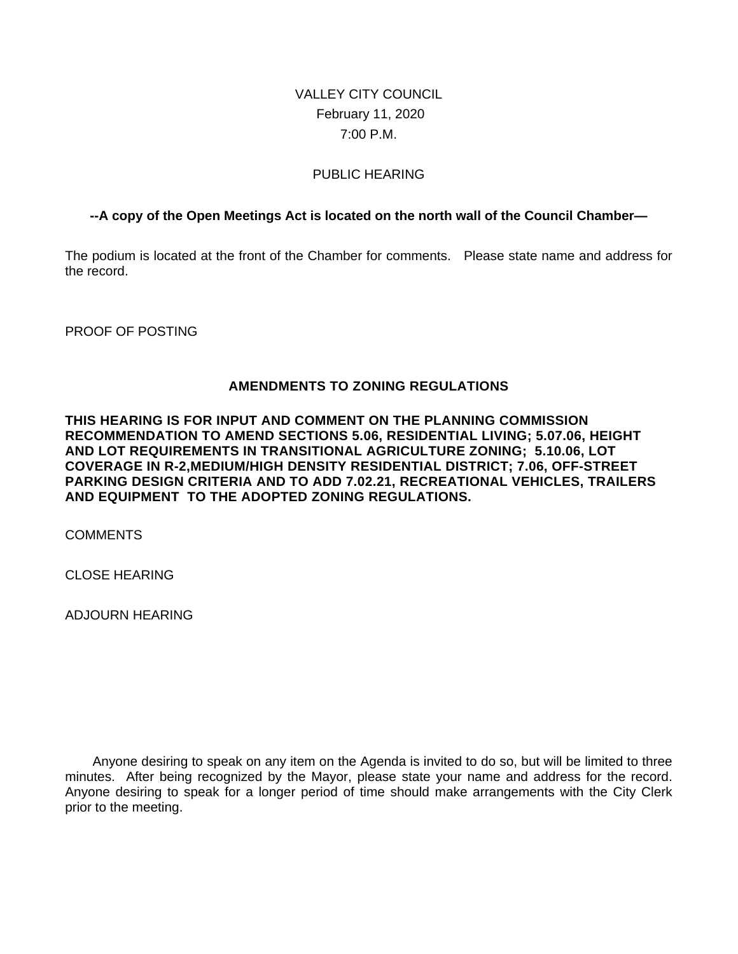# VALLEY CITY COUNCIL February 11, 2020 7:00 P.M.

## PUBLIC HEARING

## **--A copy of the Open Meetings Act is located on the north wall of the Council Chamber—**

The podium is located at the front of the Chamber for comments. Please state name and address for the record.

PROOF OF POSTING

### **AMENDMENTS TO ZONING REGULATIONS**

**THIS HEARING IS FOR INPUT AND COMMENT ON THE PLANNING COMMISSION RECOMMENDATION TO AMEND SECTIONS 5.06, RESIDENTIAL LIVING; 5.07.06, HEIGHT AND LOT REQUIREMENTS IN TRANSITIONAL AGRICULTURE ZONING; 5.10.06, LOT COVERAGE IN R-2,MEDIUM/HIGH DENSITY RESIDENTIAL DISTRICT; 7.06, OFF-STREET PARKING DESIGN CRITERIA AND TO ADD 7.02.21, RECREATIONAL VEHICLES, TRAILERS AND EQUIPMENT TO THE ADOPTED ZONING REGULATIONS.**

COMMENTS

CLOSE HEARING

ADJOURN HEARING

Anyone desiring to speak on any item on the Agenda is invited to do so, but will be limited to three minutes. After being recognized by the Mayor, please state your name and address for the record. Anyone desiring to speak for a longer period of time should make arrangements with the City Clerk prior to the meeting.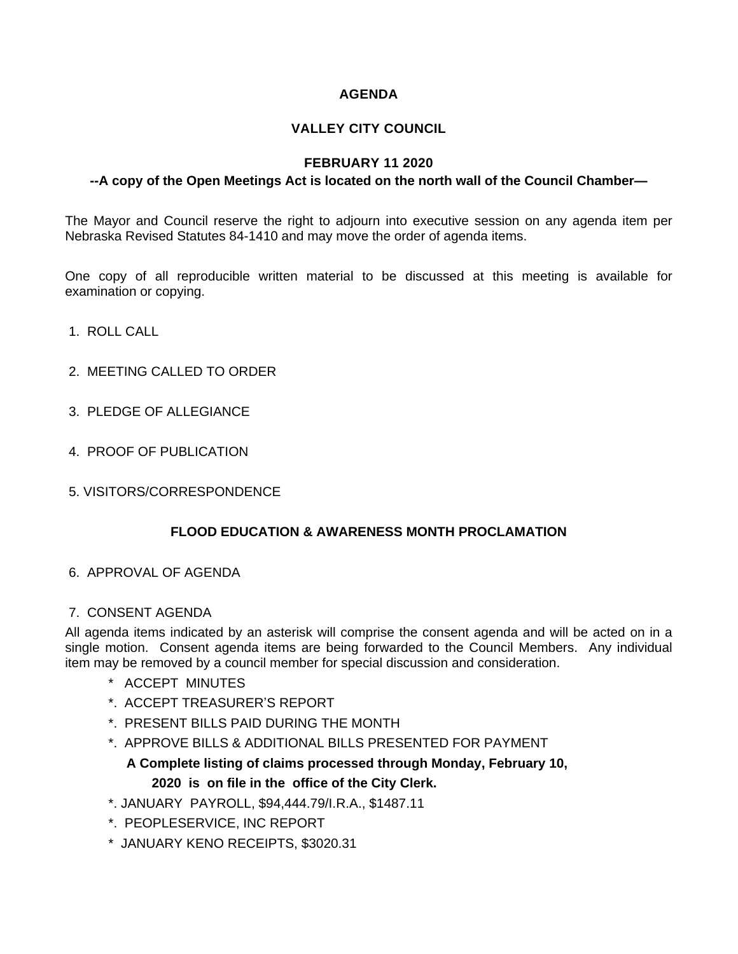## **AGENDA**

## **VALLEY CITY COUNCIL**

### **FEBRUARY 11 2020**

#### **--A copy of the Open Meetings Act is located on the north wall of the Council Chamber—**

The Mayor and Council reserve the right to adjourn into executive session on any agenda item per Nebraska Revised Statutes 84-1410 and may move the order of agenda items.

One copy of all reproducible written material to be discussed at this meeting is available for examination or copying.

- 1. ROLL CALL
- 2. MEETING CALLED TO ORDER
- 3. PLEDGE OF ALLEGIANCE
- 4. PROOF OF PUBLICATION
- 5. VISITORS/CORRESPONDENCE

### **FLOOD EDUCATION & AWARENESS MONTH PROCLAMATION**

6. APPROVAL OF AGENDA

### 7. CONSENT AGENDA

All agenda items indicated by an asterisk will comprise the consent agenda and will be acted on in a single motion. Consent agenda items are being forwarded to the Council Members. Any individual item may be removed by a council member for special discussion and consideration.

- \* ACCEPT MINUTES
- \*. ACCEPT TREASURER'S REPORT
- \*. PRESENT BILLS PAID DURING THE MONTH
- \*. APPROVE BILLS & ADDITIONAL BILLS PRESENTED FOR PAYMENT

## **A Complete listing of claims processed through Monday, February 10,**

### **2020 is on file in the office of the City Clerk.**

- \*. JANUARY PAYROLL, \$94,444.79/I.R.A., \$1487.11
- \*. PEOPLESERVICE, INC REPORT
- \* JANUARY KENO RECEIPTS, \$3020.31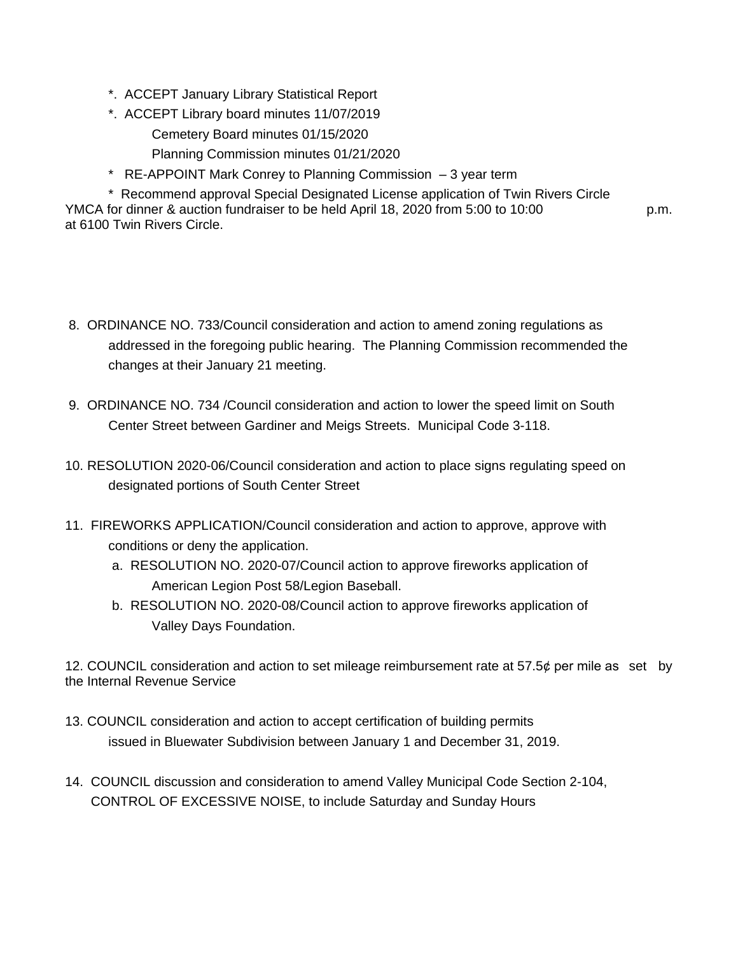- \*. ACCEPT January Library Statistical Report
- \*. ACCEPT Library board minutes 11/07/2019
	- Cemetery Board minutes 01/15/2020
	- Planning Commission minutes 01/21/2020
- \* RE-APPOINT Mark Conrey to Planning Commission 3 year term

\* Recommend approval Special Designated License application of Twin Rivers Circle YMCA for dinner & auction fundraiser to be held April 18, 2020 from 5:00 to 10:00 p.m. at 6100 Twin Rivers Circle.

- 8. ORDINANCE NO. 733/Council consideration and action to amend zoning regulations as addressed in the foregoing public hearing. The Planning Commission recommended the changes at their January 21 meeting.
- 9. ORDINANCE NO. 734 /Council consideration and action to lower the speed limit on South Center Street between Gardiner and Meigs Streets. Municipal Code 3-118.
- 10. RESOLUTION 2020-06/Council consideration and action to place signs regulating speed on designated portions of South Center Street
- 11. FIREWORKS APPLICATION/Council consideration and action to approve, approve with conditions or deny the application.
	- a. RESOLUTION NO. 2020-07/Council action to approve fireworks application of American Legion Post 58/Legion Baseball.
	- b. RESOLUTION NO. 2020-08/Council action to approve fireworks application of Valley Days Foundation.

12. COUNCIL consideration and action to set mileage reimbursement rate at 57.5¢ per mile as set by the Internal Revenue Service

- 13. COUNCIL consideration and action to accept certification of building permits issued in Bluewater Subdivision between January 1 and December 31, 2019.
- 14. COUNCIL discussion and consideration to amend Valley Municipal Code Section 2-104, CONTROL OF EXCESSIVE NOISE, to include Saturday and Sunday Hours